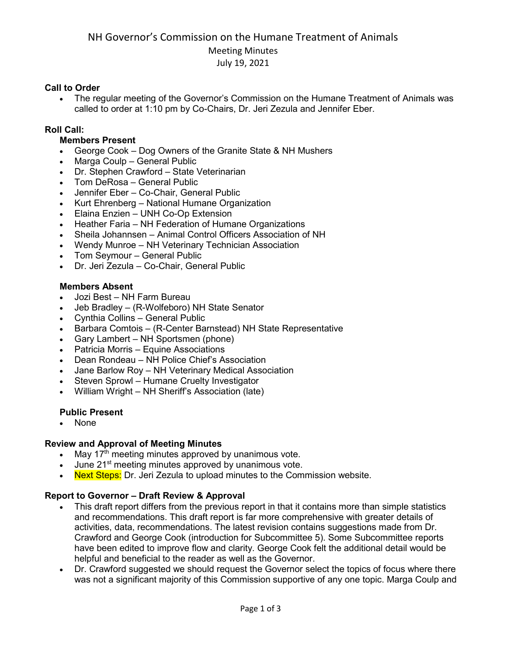# NH Governor's Commission on the Humane Treatment of Animals Meeting Minutes July 19, 2021

## **Call to Order**

• The regular meeting of the Governor's Commission on the Humane Treatment of Animals was called to order at 1:10 pm by Co-Chairs, Dr. Jeri Zezula and Jennifer Eber.

## **Roll Call:**

### **Members Present**

- George Cook Dog Owners of the Granite State & NH Mushers
- Marga Coulp General Public
- Dr. Stephen Crawford State Veterinarian
- Tom DeRosa General Public
- Jennifer Eber Co-Chair, General Public
- Kurt Ehrenberg National Humane Organization
- Elaina Enzien UNH Co-Op Extension
- Heather Faria NH Federation of Humane Organizations
- Sheila Johannsen Animal Control Officers Association of NH
- Wendy Munroe NH Veterinary Technician Association
- Tom Seymour General Public
- Dr. Jeri Zezula Co-Chair, General Public

#### **Members Absent**

- Jozi Best NH Farm Bureau
- Jeb Bradley (R-Wolfeboro) NH State Senator
- Cynthia Collins General Public
- Barbara Comtois (R-Center Barnstead) NH State Representative
- Gary Lambert NH Sportsmen (phone)
- Patricia Morris Equine Associations
- Dean Rondeau NH Police Chief's Association
- Jane Barlow Roy NH Veterinary Medical Association
- Steven Sprowl Humane Cruelty Investigator
- William Wright NH Sheriff's Association (late)

#### **Public Present**

• None

#### **Review and Approval of Meeting Minutes**

- May 17<sup>th</sup> meeting minutes approved by unanimous vote.
- June 21<sup>st</sup> meeting minutes approved by unanimous vote.
- **Next Steps:** Dr. Jeri Zezula to upload minutes to the Commission website.

### **Report to Governor – Draft Review & Approval**

- This draft report differs from the previous report in that it contains more than simple statistics and recommendations. This draft report is far more comprehensive with greater details of activities, data, recommendations. The latest revision contains suggestions made from Dr. Crawford and George Cook (introduction for Subcommittee 5). Some Subcommittee reports have been edited to improve flow and clarity. George Cook felt the additional detail would be helpful and beneficial to the reader as well as the Governor.
- Dr. Crawford suggested we should request the Governor select the topics of focus where there was not a significant majority of this Commission supportive of any one topic. Marga Coulp and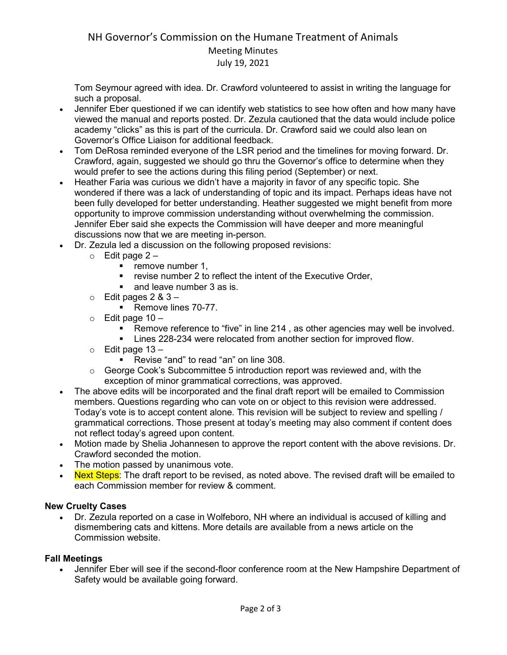# NH Governor's Commission on the Humane Treatment of Animals Meeting Minutes July 19, 2021

Tom Seymour agreed with idea. Dr. Crawford volunteered to assist in writing the language for such a proposal.

- Jennifer Eber questioned if we can identify web statistics to see how often and how many have viewed the manual and reports posted. Dr. Zezula cautioned that the data would include police academy "clicks" as this is part of the curricula. Dr. Crawford said we could also lean on Governor's Office Liaison for additional feedback.
- Tom DeRosa reminded everyone of the LSR period and the timelines for moving forward. Dr. Crawford, again, suggested we should go thru the Governor's office to determine when they would prefer to see the actions during this filing period (September) or next.
- Heather Faria was curious we didn't have a majority in favor of any specific topic. She wondered if there was a lack of understanding of topic and its impact. Perhaps ideas have not been fully developed for better understanding. Heather suggested we might benefit from more opportunity to improve commission understanding without overwhelming the commission. Jennifer Eber said she expects the Commission will have deeper and more meaningful discussions now that we are meeting in-person.
- Dr. Zezula led a discussion on the following proposed revisions:
	- $\circ$  Edit page 2
		- **•** remove number 1.
		- **•** revise number 2 to reflect the intent of the Executive Order,
		- and leave number 3 as is.
		- $\circ$  Edit pages 2 & 3
			- Remove lines 70-77.
		- $\circ$  Edit page 10
			- **Remove reference to "five" in line 214, as other agencies may well be involved.**
			- **EXECT:** Lines 228-234 were relocated from another section for improved flow.
		- $\circ$  Edit page 13
			- Revise "and" to read "an" on line 308.
		- o George Cook's Subcommittee 5 introduction report was reviewed and, with the exception of minor grammatical corrections, was approved.
- The above edits will be incorporated and the final draft report will be emailed to Commission members. Questions regarding who can vote on or object to this revision were addressed. Today's vote is to accept content alone. This revision will be subject to review and spelling / grammatical corrections. Those present at today's meeting may also comment if content does not reflect today's agreed upon content.
- Motion made by Shelia Johannesen to approve the report content with the above revisions. Dr. Crawford seconded the motion.
- The motion passed by unanimous vote.
- Next Steps: The draft report to be revised, as noted above. The revised draft will be emailed to each Commission member for review & comment.

### **New Cruelty Cases**

• Dr. Zezula reported on a case in Wolfeboro, NH where an individual is accused of killing and dismembering cats and kittens. More details are available from a news article on the Commission website.

### **Fall Meetings**

• Jennifer Eber will see if the second-floor conference room at the New Hampshire Department of Safety would be available going forward.